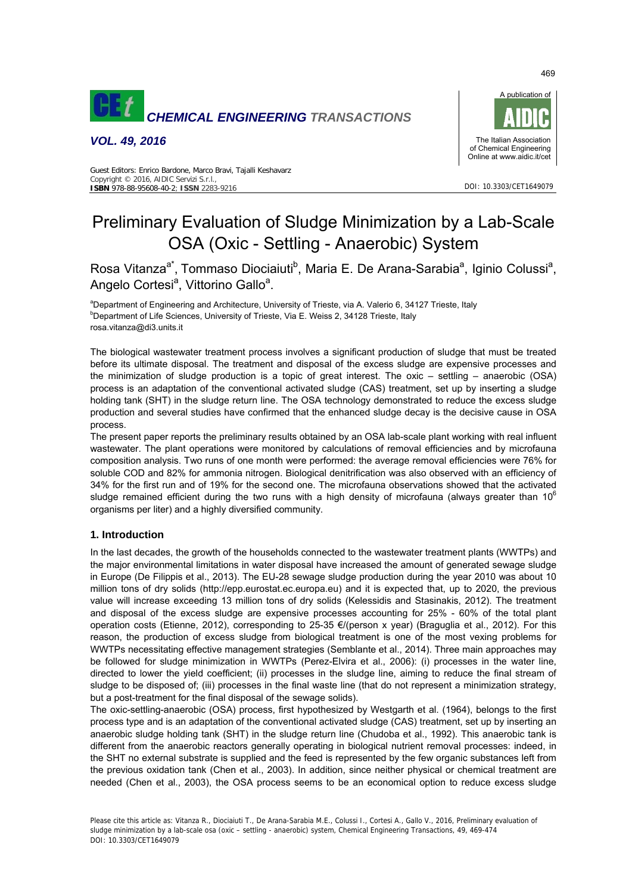

*VOL. 49, 2016* 



DOI: 10.3303/CET1649079

Guest Editors: Enrico Bardone, Marco Bravi, Tajalli Keshavarz Copyright © 2016, AIDIC Servizi S.r.l., **ISBN** 978-88-95608-40-2; **ISSN** 2283-9216

# Preliminary Evaluation of Sludge Minimization by a Lab-Scale OSA (Oxic - Settling - Anaerobic) System

Rosa Vitanza<sup>a\*</sup>, Tommaso Diociaiuti<sup>b</sup>, Maria E. De Arana-Sarabia<sup>a</sup>, Iginio Colussi<sup>a</sup>, Angelo Cortesi<sup>a</sup>, Vittorino Gallo<sup>a</sup>.

<sup>a</sup>Department of Engineering and Architecture, University of Trieste, via A. Valerio 6, 34127 Trieste, Italy beneficially <sup>b</sup>Department of Life Sciences, University of Trieste, Via E. Weiss 2, 34128 Trieste, Italy rosa.vitanza@di3.units.it

The biological wastewater treatment process involves a significant production of sludge that must be treated before its ultimate disposal. The treatment and disposal of the excess sludge are expensive processes and the minimization of sludge production is a topic of great interest. The oxic – settling – anaerobic (OSA) process is an adaptation of the conventional activated sludge (CAS) treatment, set up by inserting a sludge holding tank (SHT) in the sludge return line. The OSA technology demonstrated to reduce the excess sludge production and several studies have confirmed that the enhanced sludge decay is the decisive cause in OSA process.

The present paper reports the preliminary results obtained by an OSA lab-scale plant working with real influent wastewater. The plant operations were monitored by calculations of removal efficiencies and by microfauna composition analysis. Two runs of one month were performed: the average removal efficiencies were 76% for soluble COD and 82% for ammonia nitrogen. Biological denitrification was also observed with an efficiency of 34% for the first run and of 19% for the second one. The microfauna observations showed that the activated sludge remained efficient during the two runs with a high density of microfauna (always greater than 10 $^{\circ}$ organisms per liter) and a highly diversified community.

# **1. Introduction**

In the last decades, the growth of the households connected to the wastewater treatment plants (WWTPs) and the major environmental limitations in water disposal have increased the amount of generated sewage sludge in Europe (De Filippis et al., 2013). The EU-28 sewage sludge production during the year 2010 was about 10 million tons of dry solids (http://epp.eurostat.ec.europa.eu) and it is expected that, up to 2020, the previous value will increase exceeding 13 million tons of dry solids (Kelessidis and Stasinakis, 2012). The treatment and disposal of the excess sludge are expensive processes accounting for 25% - 60% of the total plant operation costs (Etienne, 2012), corresponding to 25-35 €/(person x year) (Braguglia et al., 2012). For this reason, the production of excess sludge from biological treatment is one of the most vexing problems for WWTPs necessitating effective management strategies (Semblante et al., 2014). Three main approaches may be followed for sludge minimization in WWTPs (Perez-Elvira et al., 2006): (i) processes in the water line, directed to lower the yield coefficient; (ii) processes in the sludge line, aiming to reduce the final stream of sludge to be disposed of; (iii) processes in the final waste line (that do not represent a minimization strategy, but a post-treatment for the final disposal of the sewage solids).

The oxic-settling-anaerobic (OSA) process, first hypothesized by Westgarth et al. (1964), belongs to the first process type and is an adaptation of the conventional activated sludge (CAS) treatment, set up by inserting an anaerobic sludge holding tank (SHT) in the sludge return line (Chudoba et al., 1992). This anaerobic tank is different from the anaerobic reactors generally operating in biological nutrient removal processes: indeed, in the SHT no external substrate is supplied and the feed is represented by the few organic substances left from the previous oxidation tank (Chen et al., 2003). In addition, since neither physical or chemical treatment are needed (Chen et al., 2003), the OSA process seems to be an economical option to reduce excess sludge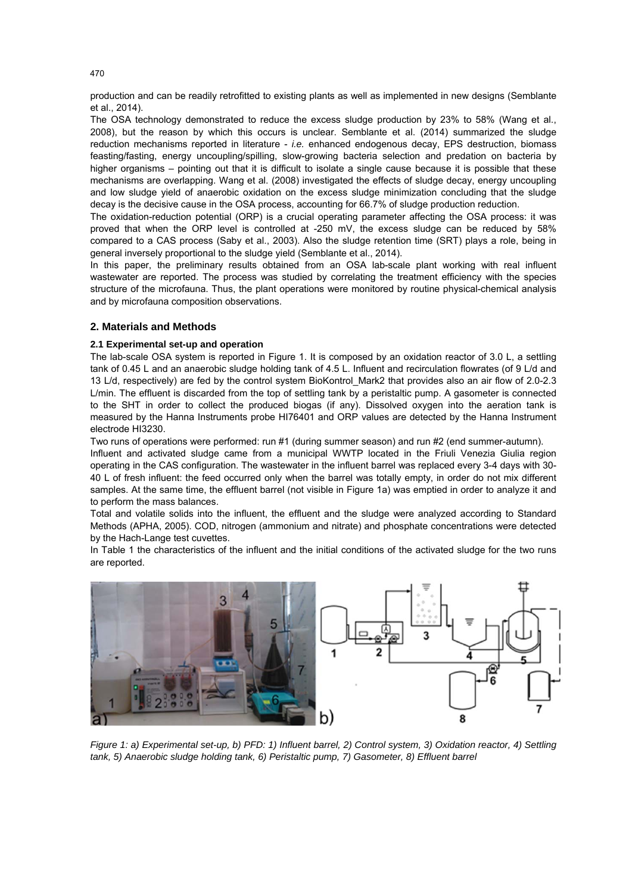production and can be readily retrofitted to existing plants as well as implemented in new designs (Semblante et al., 2014).

The OSA technology demonstrated to reduce the excess sludge production by 23% to 58% (Wang et al., 2008), but the reason by which this occurs is unclear. Semblante et al. (2014) summarized the sludge reduction mechanisms reported in literature - *i.e.* enhanced endogenous decay, EPS destruction, biomass feasting/fasting, energy uncoupling/spilling, slow-growing bacteria selection and predation on bacteria by higher organisms – pointing out that it is difficult to isolate a single cause because it is possible that these mechanisms are overlapping. Wang et al. (2008) investigated the effects of sludge decay, energy uncoupling and low sludge yield of anaerobic oxidation on the excess sludge minimization concluding that the sludge decay is the decisive cause in the OSA process, accounting for 66.7% of sludge production reduction.

The oxidation-reduction potential (ORP) is a crucial operating parameter affecting the OSA process: it was proved that when the ORP level is controlled at -250 mV, the excess sludge can be reduced by 58% compared to a CAS process (Saby et al., 2003). Also the sludge retention time (SRT) plays a role, being in general inversely proportional to the sludge yield (Semblante et al., 2014).

In this paper, the preliminary results obtained from an OSA lab-scale plant working with real influent wastewater are reported. The process was studied by correlating the treatment efficiency with the species structure of the microfauna. Thus, the plant operations were monitored by routine physical-chemical analysis and by microfauna composition observations.

# **2. Materials and Methods**

# **2.1 Experimental set-up and operation**

The lab-scale OSA system is reported in Figure 1. It is composed by an oxidation reactor of 3.0 L, a settling tank of 0.45 L and an anaerobic sludge holding tank of 4.5 L. Influent and recirculation flowrates (of 9 L/d and 13 L/d, respectively) are fed by the control system BioKontrol\_Mark2 that provides also an air flow of 2.0-2.3 L/min. The effluent is discarded from the top of settling tank by a peristaltic pump. A gasometer is connected to the SHT in order to collect the produced biogas (if any). Dissolved oxygen into the aeration tank is measured by the Hanna Instruments probe HI76401 and ORP values are detected by the Hanna Instrument electrode HI3230.

Two runs of operations were performed: run #1 (during summer season) and run #2 (end summer-autumn).

Influent and activated sludge came from a municipal WWTP located in the Friuli Venezia Giulia region operating in the CAS configuration. The wastewater in the influent barrel was replaced every 3-4 days with 30- 40 L of fresh influent: the feed occurred only when the barrel was totally empty, in order do not mix different samples. At the same time, the effluent barrel (not visible in Figure 1a) was emptied in order to analyze it and to perform the mass balances.

Total and volatile solids into the influent, the effluent and the sludge were analyzed according to Standard Methods (APHA, 2005). COD, nitrogen (ammonium and nitrate) and phosphate concentrations were detected by the Hach-Lange test cuvettes.

In Table 1 the characteristics of the influent and the initial conditions of the activated sludge for the two runs are reported.



*Figure 1: a) Experimental set-up, b) PFD: 1) Influent barrel, 2) Control system, 3) Oxidation reactor, 4) Settling tank, 5) Anaerobic sludge holding tank, 6) Peristaltic pump, 7) Gasometer, 8) Effluent barrel*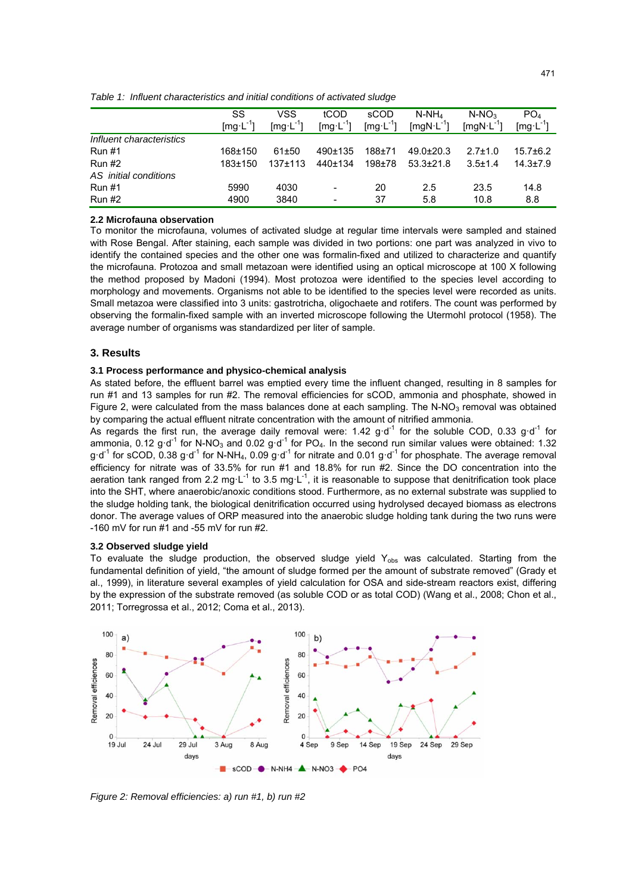|                              | SS            | VSS                                          | tCOD          | sCOD       | $N-NH_4$        | $N-NO3$        | PO <sub>4</sub> |  |  |  |
|------------------------------|---------------|----------------------------------------------|---------------|------------|-----------------|----------------|-----------------|--|--|--|
|                              | $[mg L^{-1}]$ | $\left[\text{mg} \cdot \text{L}^{-1}\right]$ | $[mg L^{-1}]$ | $[mg^L^1]$ | $[mgN·L^{-1}]$  | $[mgN·L^{-1}]$ | $[mg L^{-1}]$   |  |  |  |
| Influent characteristics     |               |                                              |               |            |                 |                |                 |  |  |  |
| <b>Run #1</b>                | 168±150       | 61±50                                        | 490±135       | $188 + 71$ | $49.0 \pm 20.3$ | $2.7 \pm 1.0$  | $15.7 \pm 6.2$  |  |  |  |
| <b>Run #2</b>                | 183±150       | $137 + 113$                                  | 440±134       | $198 + 78$ | $53.3 \pm 21.8$ | $3.5 \pm 1.4$  | $14.3 \pm 7.9$  |  |  |  |
| AS <i>initial</i> conditions |               |                                              |               |            |                 |                |                 |  |  |  |
| <b>Run #1</b>                | 5990          | 4030                                         | -             | 20         | 2.5             | 23.5           | 14.8            |  |  |  |
| <b>Run #2</b>                | 4900          | 3840                                         | -             | 37         | 5.8             | 10.8           | 8.8             |  |  |  |

*Table 1: Influent characteristics and initial conditions of activated sludge* 

### **2.2 Microfauna observation**

To monitor the microfauna, volumes of activated sludge at regular time intervals were sampled and stained with Rose Bengal. After staining, each sample was divided in two portions: one part was analyzed in vivo to identify the contained species and the other one was formalin-fixed and utilized to characterize and quantify the microfauna. Protozoa and small metazoan were identified using an optical microscope at 100 X following the method proposed by Madoni (1994). Most protozoa were identified to the species level according to morphology and movements. Organisms not able to be identified to the species level were recorded as units. Small metazoa were classified into 3 units: gastrotricha, oligochaete and rotifers. The count was performed by observing the formalin-fixed sample with an inverted microscope following the Utermohl protocol (1958). The average number of organisms was standardized per liter of sample.

## **3. Results**

## **3.1 Process performance and physico-chemical analysis**

As stated before, the effluent barrel was emptied every time the influent changed, resulting in 8 samples for run #1 and 13 samples for run #2. The removal efficiencies for sCOD, ammonia and phosphate, showed in Figure 2, were calculated from the mass balances done at each sampling. The N-NO<sub>3</sub> removal was obtained by comparing the actual effluent nitrate concentration with the amount of nitrified ammonia.

As regards the first run, the average daily removal were: 1.42 g·d<sup>-1</sup> for the soluble COD, 0.33 g·d<sup>-1</sup> for ammonia, 0.12 g·d<sup>-1</sup> for N-NO<sub>3</sub> and 0.02 g·d<sup>-1</sup> for PO<sub>4</sub>. In the second run similar values were obtained: 1.32  $g \cdot d^{-1}$  for sCOD, 0.38 g $\cdot d^{-1}$  for N-NH<sub>4</sub>, 0.09 g $\cdot d^{-1}$  for nitrate and 0.01 g $\cdot d^{-1}$  for phosphate. The average removal efficiency for nitrate was of 33.5% for run #1 and 18.8% for run #2. Since the DO concentration into the aeration tank ranged from 2.2 mg·L<sup>-1</sup> to 3.5 mg·L<sup>-1</sup>, it is reasonable to suppose that denitrification took place into the SHT, where anaerobic/anoxic conditions stood. Furthermore, as no external substrate was supplied to the sludge holding tank, the biological denitrification occurred using hydrolysed decayed biomass as electrons donor. The average values of ORP measured into the anaerobic sludge holding tank during the two runs were -160 mV for run #1 and -55 mV for run #2.

#### **3.2 Observed sludge yield**

To evaluate the sludge production, the observed sludge yield Y<sub>obs</sub> was calculated. Starting from the fundamental definition of yield, "the amount of sludge formed per the amount of substrate removed" (Grady et al., 1999), in literature several examples of yield calculation for OSA and side-stream reactors exist, differing by the expression of the substrate removed (as soluble COD or as total COD) (Wang et al., 2008; Chon et al., 2011; Torregrossa et al., 2012; Coma et al., 2013).



*Figure 2: Removal efficiencies: a) run #1, b) run #2*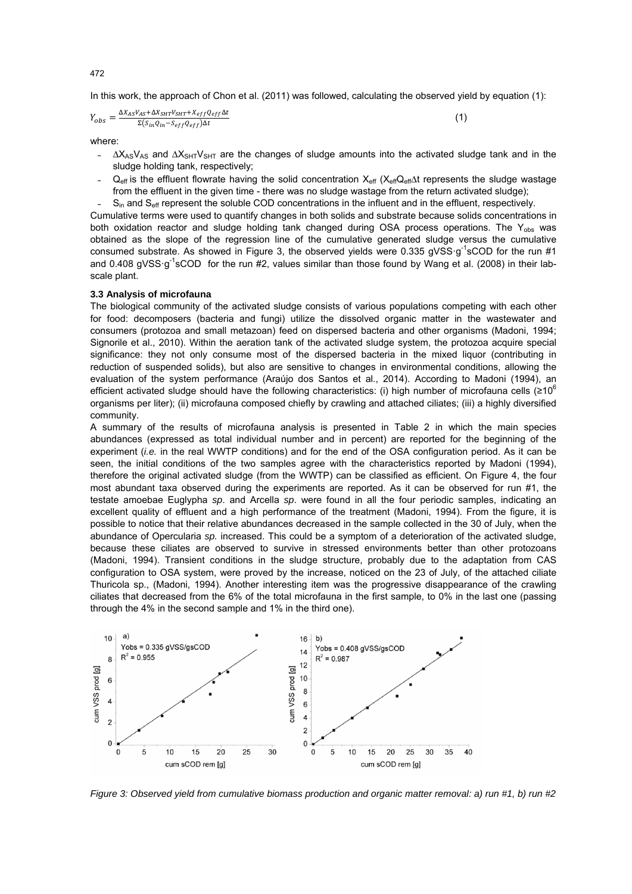In this work, the approach of Chon et al. (2011) was followed, calculating the observed yield by equation (1):

$$
Y_{obs} = \frac{\Delta X_{AS} V_{AS} + \Delta X_{SHT} V_{SHT} + X_{eff} Q_{eff} \Delta t}{\Sigma (S_{in} Q_{in} - S_{eff} Q_{eff}) \Delta t}
$$
(1)

where:

- $\Delta X_{AS}V_{AS}$  and  $\Delta X_{SHT}V_{SHT}$  are the changes of sludge amounts into the activated sludge tank and in the sludge holding tank, respectively;
- $Q_{\text{eff}}$  is the effluent flowrate having the solid concentration  $X_{\text{eff}}$  ( $X_{\text{eff}}Q_{\text{eff}}$ ) at represents the sludge wastage from the effluent in the given time - there was no sludge wastage from the return activated sludge);
- $S_{in}$  and  $S_{\text{eff}}$  represent the soluble COD concentrations in the influent and in the effluent, respectively.

Cumulative terms were used to quantify changes in both solids and substrate because solids concentrations in both oxidation reactor and sludge holding tank changed during OSA process operations. The  $Y_{\text{obs}}$  was obtained as the slope of the regression line of the cumulative generated sludge versus the cumulative consumed substrate. As showed in Figure 3, the observed yields were 0.335 gVSS  $g^{-1}$ sCOD for the run #1 and 0.408 gVSS·g<sup>-1</sup>sCOD for the run #2, values similar than those found by Wang et al. (2008) in their labscale plant.

## **3.3 Analysis of microfauna**

The biological community of the activated sludge consists of various populations competing with each other for food: decomposers (bacteria and fungi) utilize the dissolved organic matter in the wastewater and consumers (protozoa and small metazoan) feed on dispersed bacteria and other organisms (Madoni, 1994; Signorile et al., 2010). Within the aeration tank of the activated sludge system, the protozoa acquire special significance: they not only consume most of the dispersed bacteria in the mixed liquor (contributing in reduction of suspended solids), but also are sensitive to changes in environmental conditions, allowing the evaluation of the system performance (Araújo dos Santos et al., 2014). According to Madoni (1994), an efficient activated sludge should have the following characteristics: (i) high number of microfauna cells (≥10<sup>6</sup>) organisms per liter); (ii) microfauna composed chiefly by crawling and attached ciliates; (iii) a highly diversified community.

A summary of the results of microfauna analysis is presented in Table 2 in which the main species abundances (expressed as total individual number and in percent) are reported for the beginning of the experiment (*i.e.* in the real WWTP conditions) and for the end of the OSA configuration period. As it can be seen, the initial conditions of the two samples agree with the characteristics reported by Madoni (1994), therefore the original activated sludge (from the WWTP) can be classified as efficient. On Figure 4, the four most abundant taxa observed during the experiments are reported. As it can be observed for run #1, the testate amoebae Euglypha *sp*. and Arcella *sp*. were found in all the four periodic samples, indicating an excellent quality of effluent and a high performance of the treatment (Madoni, 1994). From the figure, it is possible to notice that their relative abundances decreased in the sample collected in the 30 of July, when the abundance of Opercularia *sp.* increased. This could be a symptom of a deterioration of the activated sludge, because these ciliates are observed to survive in stressed environments better than other protozoans (Madoni, 1994). Transient conditions in the sludge structure, probably due to the adaptation from CAS configuration to OSA system, were proved by the increase, noticed on the 23 of July, of the attached ciliate Thuricola sp., (Madoni, 1994). Another interesting item was the progressive disappearance of the crawling ciliates that decreased from the 6% of the total microfauna in the first sample, to 0% in the last one (passing through the 4% in the second sample and 1% in the third one).



*Figure 3: Observed yield from cumulative biomass production and organic matter removal: a) run #1, b) run #2*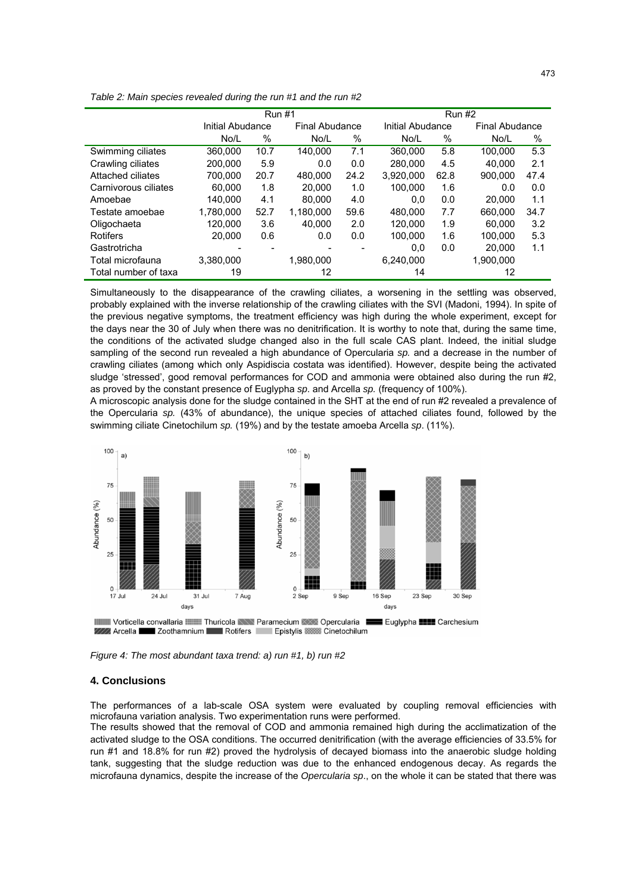|                      | <b>Run #1</b>    |      |                |      | <b>Run #2</b> |                  |           |                |  |
|----------------------|------------------|------|----------------|------|---------------|------------------|-----------|----------------|--|
|                      | Initial Abudance |      | Final Abudance |      |               | Initial Abudance |           | Final Abudance |  |
|                      | No/L             | $\%$ | No/L           | $\%$ | No/L          | $\%$             | No/L      | %              |  |
| Swimming ciliates    | 360,000          | 10.7 | 140.000        | 7.1  | 360,000       | 5.8              | 100.000   | 5.3            |  |
| Crawling ciliates    | 200.000          | 5.9  | 0.0            | 0.0  | 280.000       | 4.5              | 40.000    | 2.1            |  |
| Attached ciliates    | 700.000          | 20.7 | 480.000        | 24.2 | 3.920.000     | 62.8             | 900.000   | 47.4           |  |
| Carnivorous ciliates | 60.000           | 1.8  | 20,000         | 1.0  | 100.000       | 1.6              | 0.0       | 0.0            |  |
| Amoebae              | 140.000          | 4.1  | 80.000         | 4.0  | 0.0           | 0.0              | 20.000    | 1.1            |  |
| Testate amoebae      | 1,780,000        | 52.7 | 1,180,000      | 59.6 | 480,000       | 7.7              | 660,000   | 34.7           |  |
| Oligochaeta          | 120.000          | 3.6  | 40.000         | 2.0  | 120.000       | 1.9              | 60.000    | 3.2            |  |
| Rotifers             | 20,000           | 0.6  | 0.0            | 0.0  | 100,000       | 1.6              | 100.000   | 5.3            |  |
| Gastrotricha         |                  |      |                |      | 0,0           | 0.0              | 20.000    | 1.1            |  |
| Total microfauna     | 3,380,000        |      | 1,980,000      |      | 6,240,000     |                  | 1,900,000 |                |  |
| Total number of taxa | 19               |      | 12             |      | 14            |                  | 12        |                |  |

*Table 2: Main species revealed during the run #1 and the run #2* 

Simultaneously to the disappearance of the crawling ciliates, a worsening in the settling was observed, probably explained with the inverse relationship of the crawling ciliates with the SVI (Madoni, 1994). In spite of the previous negative symptoms, the treatment efficiency was high during the whole experiment, except for the days near the 30 of July when there was no denitrification. It is worthy to note that, during the same time, the conditions of the activated sludge changed also in the full scale CAS plant. Indeed, the initial sludge sampling of the second run revealed a high abundance of Opercularia *sp.* and a decrease in the number of crawling ciliates (among which only Aspidiscia costata was identified). However, despite being the activated sludge 'stressed', good removal performances for COD and ammonia were obtained also during the run #2, as proved by the constant presence of Euglypha *sp*. and Arcella *sp.* (frequency of 100%).

A microscopic analysis done for the sludge contained in the SHT at the end of run #2 revealed a prevalence of the Opercularia *sp.* (43% of abundance), the unique species of attached ciliates found, followed by the swimming ciliate Cinetochilum *sp.* (19%) and by the testate amoeba Arcella *sp*. (11%).



ZZZ Arcella Zoothamnium Rotifers Epistylis Cinetochilum

*Figure 4: The most abundant taxa trend: a) run #1, b) run #2* 

## **4. Conclusions**

The performances of a lab-scale OSA system were evaluated by coupling removal efficiencies with microfauna variation analysis. Two experimentation runs were performed.

The results showed that the removal of COD and ammonia remained high during the acclimatization of the activated sludge to the OSA conditions. The occurred denitrification (with the average efficiencies of 33.5% for run #1 and 18.8% for run #2) proved the hydrolysis of decayed biomass into the anaerobic sludge holding tank, suggesting that the sludge reduction was due to the enhanced endogenous decay. As regards the microfauna dynamics, despite the increase of the *Opercularia sp*., on the whole it can be stated that there was